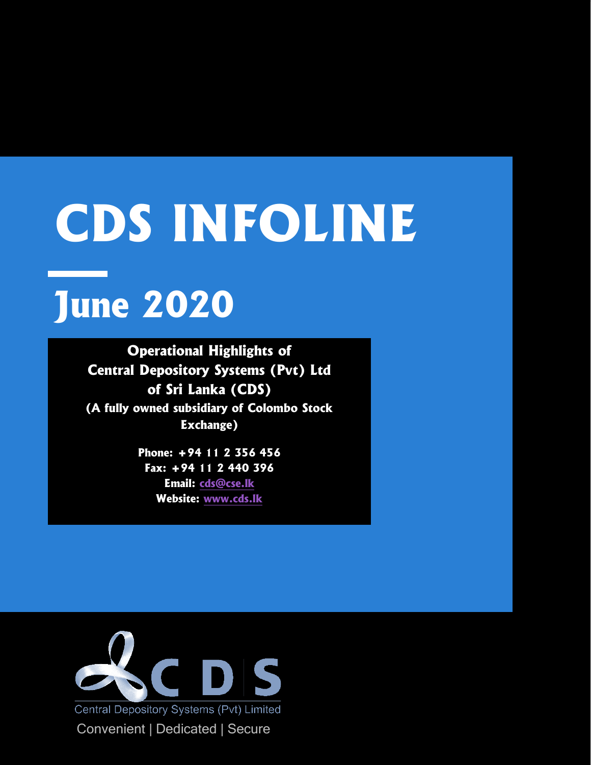# **CDS INFOLINE**

# **June 2020**

**Operational Highlights of Central Depository Systems (Pvt) Ltd of Sri Lanka (CDS) (A fully owned subsidiary of Colombo Stock Exchange)**

> **Phone: +94 11 2 356 456 Fax: +94 11 2 440 396 Email: [cds@cse.lk](mailto:cds@cse.lk) Website: [www.cds.lk](http://www.cds.lk/)**

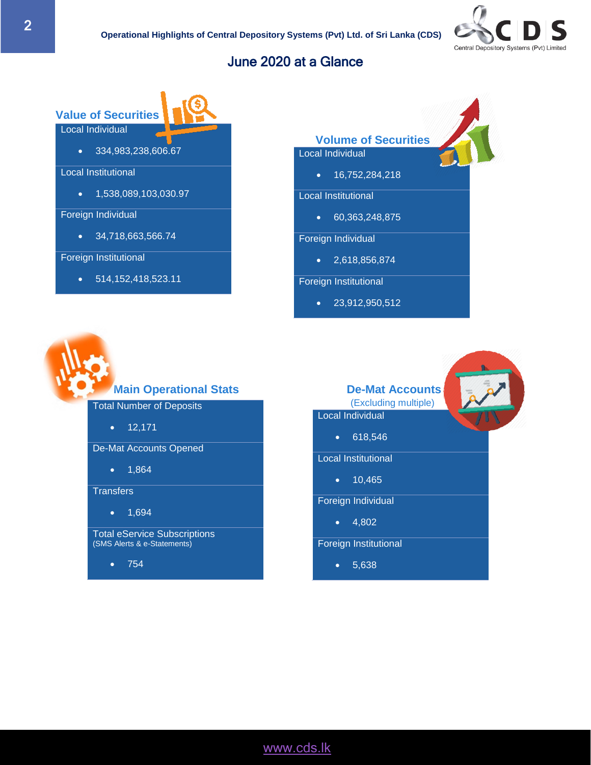

## June 2020 at a Glance

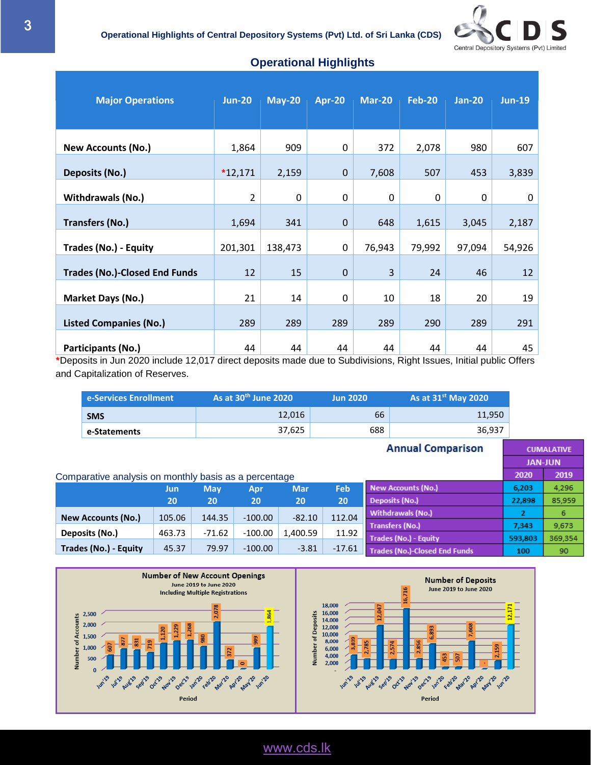

| <b>Major Operations</b>              | <b>Jun-20</b>  | $May-20$    | <b>Apr-20</b> | <b>Mar-20</b> | <b>Feb-20</b> | $Jan-20$ | $Jun-19$    |
|--------------------------------------|----------------|-------------|---------------|---------------|---------------|----------|-------------|
| <b>New Accounts (No.)</b>            | 1,864          | 909         | 0             | 372           | 2,078         | 980      | 607         |
| <b>Deposits (No.)</b>                | $*12,171$      | 2,159       | $\mathbf 0$   | 7,608         | 507           | 453      | 3,839       |
| <b>Withdrawals (No.)</b>             | $\overline{2}$ | $\mathbf 0$ | $\mathbf 0$   | $\mathbf 0$   | 0             | 0        | $\mathbf 0$ |
| <b>Transfers (No.)</b>               | 1,694          | 341         | $\mathbf 0$   | 648           | 1,615         | 3,045    | 2,187       |
| <b>Trades (No.) - Equity</b>         | 201,301        | 138,473     | 0             | 76,943        | 79,992        | 97,094   | 54,926      |
| <b>Trades (No.)-Closed End Funds</b> | 12             | 15          | $\mathbf 0$   | 3             | 24            | 46       | 12          |
| Market Days (No.)                    | 21             | 14          | 0             | 10            | 18            | 20       | 19          |
| <b>Listed Companies (No.)</b>        | 289            | 289         | 289           | 289           | 290           | 289      | 291         |
| Participants (No.)                   | 44             | 44          | 44            | 44            | 44            | 44       | 45          |

#### • **Operational Highlights**

**\***Deposits in Jun 2020 include 12,017 direct deposits made due to Subdivisions, Right Issues, Initial public Offers and Capitalization of Reserves.

|                          | e-Services Enrollment                                 |        |            | As at 30 <sup>th</sup> June 2020 |            | <b>Jun 2020</b> |                   | As at 31 <sup>st</sup> May 2020      |         |                |
|--------------------------|-------------------------------------------------------|--------|------------|----------------------------------|------------|-----------------|-------------------|--------------------------------------|---------|----------------|
|                          | <b>SMS</b>                                            |        |            |                                  | 12,016     |                 | 66                | 11,950                               |         |                |
|                          | e-Statements                                          |        |            |                                  | 37,625     |                 | 688               | 36,937                               |         |                |
| <b>Annual Comparison</b> |                                                       |        |            |                                  |            |                 | <b>CUMALATIVE</b> |                                      |         |                |
|                          |                                                       |        |            |                                  |            |                 |                   |                                      |         | <b>JAN-JUN</b> |
|                          | Comparative analysis on monthly basis as a percentage |        |            |                                  |            |                 |                   |                                      | 2020    | 2019           |
|                          |                                                       | Jun    | <b>May</b> | Apr                              | <b>Mar</b> | Feb             |                   | <b>New Accounts (No.)</b>            | 6,203   | 4,296          |
|                          |                                                       | 20     | 20         | 20                               | 20         | 20              |                   | Deposits (No.)                       | 22,898  | 85,959         |
|                          | <b>New Accounts (No.)</b>                             | 105.06 | 144.35     | $-100.00$                        | $-82.10$   | 112.04          |                   | <b>Withdrawals (No.)</b>             | 2       | 6              |
|                          | Deposits (No.)                                        | 463.73 | $-71.62$   | $-100.00$                        | 1,400.59   | 11.92           |                   | <b>Transfers (No.)</b>               | 7,343   | 9,673          |
|                          |                                                       |        |            |                                  |            |                 |                   | <b>Trades (No.) - Equity</b>         | 593,803 | 369,354        |
|                          | Trades (No.) - Equity                                 | 45.37  | 79.97      | $-100.00$                        | $-3.81$    | $-17.61$        |                   | <b>Trades (No.)-Closed End Funds</b> | 100     | 90             |

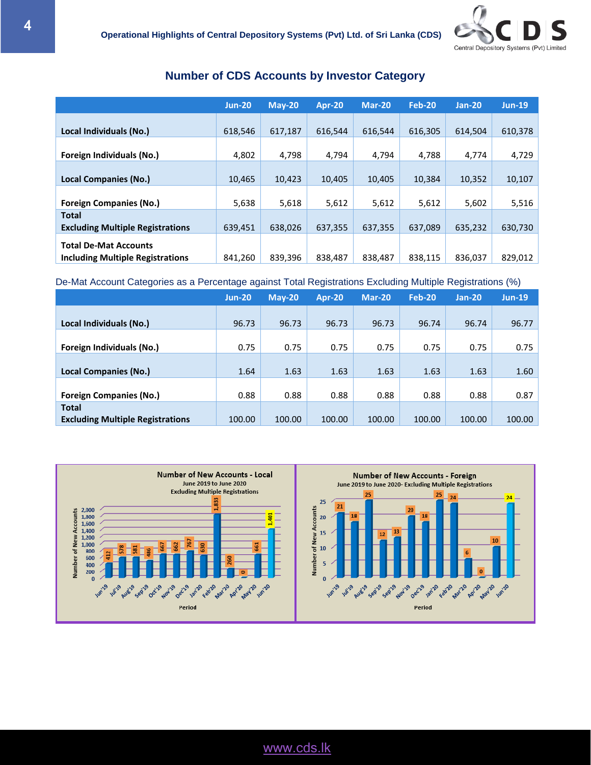

#### **Number of CDS Accounts by Investor Category**

|                                                                         | $Jun-20$ | $M$ ay-20 | Apr-20  | Mar-20  | Feb-20  | $Jan-20$ | $Jun-19$ |
|-------------------------------------------------------------------------|----------|-----------|---------|---------|---------|----------|----------|
| Local Individuals (No.)                                                 | 618,546  | 617,187   | 616,544 | 616,544 | 616,305 | 614.504  | 610,378  |
| Foreign Individuals (No.)                                               | 4,802    | 4,798     | 4,794   | 4,794   | 4,788   | 4,774    | 4,729    |
| <b>Local Companies (No.)</b>                                            | 10,465   | 10,423    | 10.405  | 10,405  | 10.384  | 10,352   | 10,107   |
| <b>Foreign Companies (No.)</b>                                          | 5,638    | 5,618     | 5,612   | 5,612   | 5,612   | 5,602    | 5,516    |
| <b>Total</b><br><b>Excluding Multiple Registrations</b>                 | 639,451  | 638,026   | 637,355 | 637,355 | 637.089 | 635,232  | 630,730  |
| <b>Total De-Mat Accounts</b><br><b>Including Multiple Registrations</b> | 841,260  | 839,396   | 838,487 | 838,487 | 838,115 | 836,037  | 829,012  |

#### De-Mat Account Categories as a Percentage against Total Registrations Excluding Multiple Registrations (%)

|                                                         | $Jun-20$ | $Mav-20$ | Apr-20 | Mar-20 | <b>Feb-20</b> | $Jan-20$ | <b>Jun-19</b> |
|---------------------------------------------------------|----------|----------|--------|--------|---------------|----------|---------------|
| Local Individuals (No.)                                 | 96.73    | 96.73    | 96.73  | 96.73  | 96.74         | 96.74    | 96.77         |
| Foreign Individuals (No.)                               | 0.75     | 0.75     | 0.75   | 0.75   | 0.75          | 0.75     | 0.75          |
| Local Companies (No.)                                   | 1.64     | 1.63     | 1.63   | 1.63   | 1.63          | 1.63     | 1.60          |
| <b>Foreign Companies (No.)</b>                          | 0.88     | 0.88     | 0.88   | 0.88   | 0.88          | 0.88     | 0.87          |
| <b>Total</b><br><b>Excluding Multiple Registrations</b> | 100.00   | 100.00   | 100.00 | 100.00 | 100.00        | 100.00   | 100.00        |

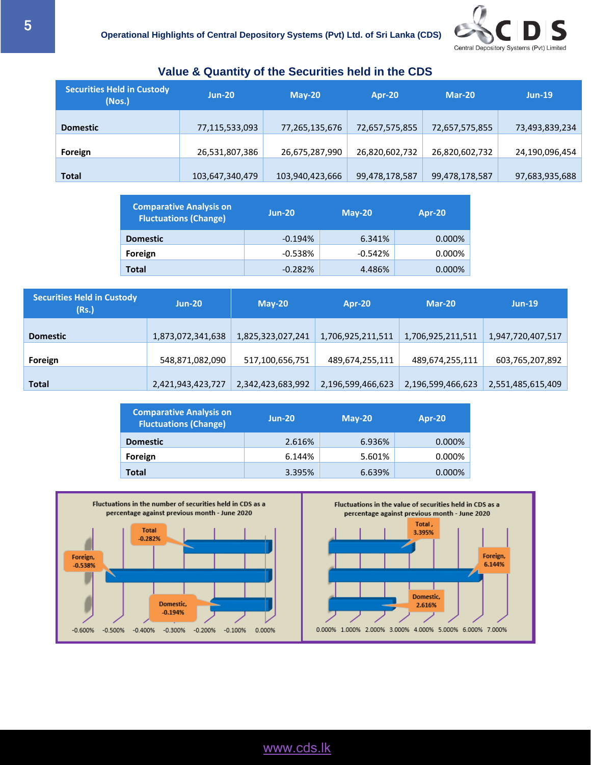

| <b>Securities Held in Custody</b><br>(Nos.) | $Jun-20$        | $M$ ay-20       | Apr-20         | Mar-20         | $Jun-19$       |
|---------------------------------------------|-----------------|-----------------|----------------|----------------|----------------|
| <b>Domestic</b>                             | 77,115,533,093  | 77,265,135,676  | 72,657,575,855 | 72,657,575,855 | 73,493,839,234 |
| Foreign                                     | 26,531,807,386  | 26,675,287,990  | 26,820,602,732 | 26,820,602,732 | 24,190,096,454 |
| <b>Total</b>                                | 103,647,340,479 | 103,940,423,666 | 99,478,178,587 | 99,478,178,587 | 97,683,935,688 |

#### **Value & Quantity of the Securities held in the CDS**

| <b>Comparative Analysis on</b><br><b>Fluctuations (Change)</b> | $Jun-20$  | $M$ ay-20 | Apr-20 |
|----------------------------------------------------------------|-----------|-----------|--------|
| <b>Domestic</b>                                                | $-0.194%$ | 6.341%    | 0.000% |
| Foreign                                                        | $-0.538%$ | $-0.542%$ | 0.000% |
| <b>Total</b>                                                   | $-0.282%$ | 4.486%    | 0.000% |

| <b>Securities Held in Custody</b><br>(Rs.) | $Jun-20$          | $May-20$          | Apr-20            | $Mar-20$          | $Jun-19$          |
|--------------------------------------------|-------------------|-------------------|-------------------|-------------------|-------------------|
| <b>Domestic</b>                            | 1,873,072,341,638 | 1,825,323,027,241 | 1,706,925,211,511 | 1,706,925,211,511 | 1,947,720,407,517 |
| Foreign                                    | 548,871,082,090   | 517,100,656,751   | 489,674,255,111   | 489,674,255,111   | 603,765,207,892   |
| <b>Total</b>                               | 2,421,943,423,727 | 2,342,423,683,992 | 2,196,599,466,623 | 2,196,599,466,623 | 2,551,485,615,409 |

| <b>Comparative Analysis on</b><br><b>Fluctuations (Change)</b> | $Jun-20$ | $M$ ay-20 | Apr-20    |
|----------------------------------------------------------------|----------|-----------|-----------|
| <b>Domestic</b>                                                | 2.616%   | 6.936%    | $0.000\%$ |
| Foreign                                                        | 6.144%   | 5.601%    | 0.000%    |
| <b>Total</b>                                                   | 3.395%   | 6.639%    | $0.000\%$ |



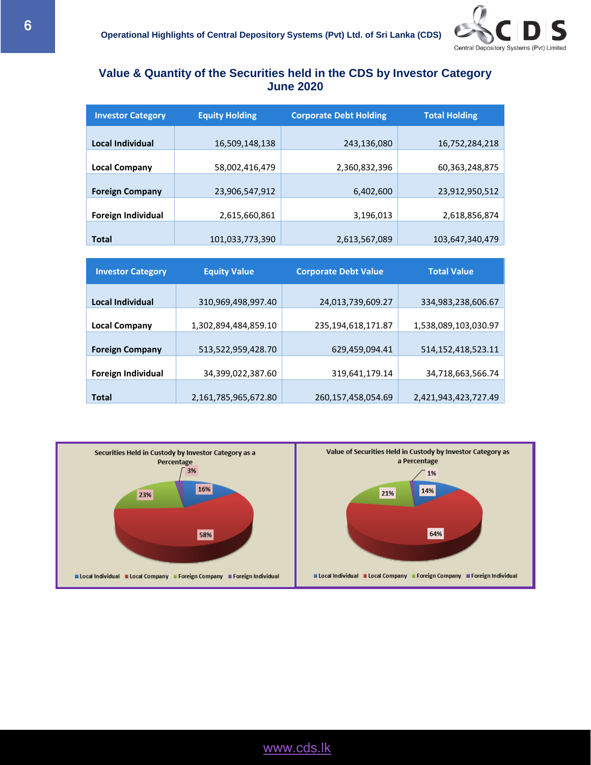

#### **Value & Quantity of the Securities held in the CDS by Investor Category June 2020**

| <b>Investor Category</b> | <b>Equity Holding</b> | <b>Corporate Debt Holding</b> | <b>Total Holding</b> |
|--------------------------|-----------------------|-------------------------------|----------------------|
| Local Individual         | 16,509,148,138        | 243,136,080                   | 16,752,284,218       |
| <b>Local Company</b>     | 58,002,416,479        | 2,360,832,396                 | 60,363,248,875       |
| <b>Foreign Company</b>   | 23,906,547,912        | 6,402,600                     | 23,912,950,512       |
| Foreign Individual       | 2,615,660,861         | 3,196,013                     | 2,618,856,874        |
| <b>Total</b>             | 101,033,773,390       | 2,613,567,089                 | 103,647,340,479      |

| <b>Investor Category</b> | <b>Equity Value</b>  | <b>Corporate Debt Value</b> | <b>Total Value</b>   |
|--------------------------|----------------------|-----------------------------|----------------------|
|                          |                      |                             |                      |
| <b>Local Individual</b>  | 310,969,498,997.40   | 24,013,739,609.27           | 334,983,238,606.67   |
| <b>Local Company</b>     | 1,302,894,484,859.10 | 235,194,618,171.87          | 1,538,089,103,030.97 |
|                          |                      |                             |                      |
| <b>Foreign Company</b>   | 513,522,959,428.70   | 629,459,094.41              | 514,152,418,523.11   |
| Foreign Individual       | 34,399,022,387.60    | 319,641,179.14              | 34,718,663,566.74    |
|                          |                      |                             |                      |
| <b>Total</b>             | 2,161,785,965,672.80 | 260,157,458,054.69          | 2,421,943,423,727.49 |

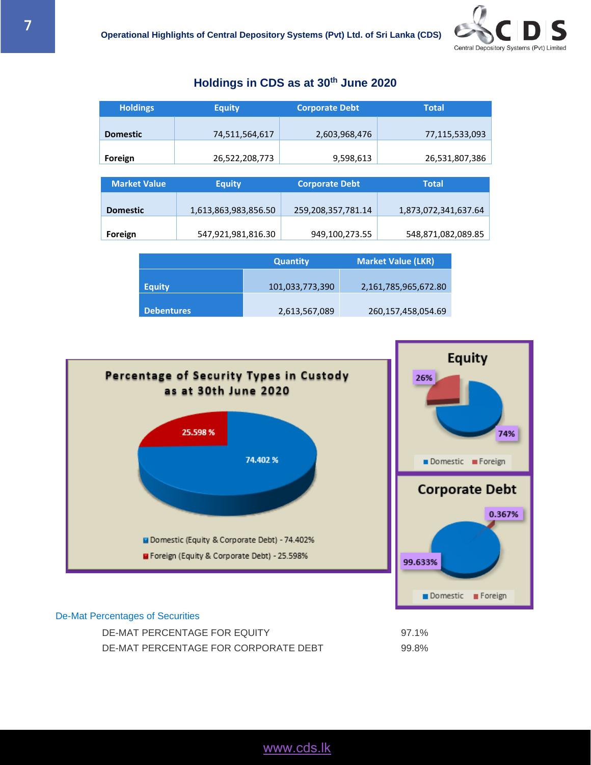## **Holdings in CDS as at 30 th June 2020**

| <b>Holdings</b>     | <b>Equity</b>        | <b>Corporate Debt</b> | <b>Total</b>         |
|---------------------|----------------------|-----------------------|----------------------|
|                     |                      |                       |                      |
| <b>Domestic</b>     | 74,511,564,617       | 2,603,968,476         | 77,115,533,093       |
|                     |                      |                       |                      |
| Foreign             | 26,522,208,773       | 9,598,613             | 26,531,807,386       |
|                     |                      |                       |                      |
|                     |                      |                       |                      |
| <b>Market Value</b> | <b>Equity</b>        | <b>Corporate Debt</b> | <b>Total</b>         |
|                     |                      |                       |                      |
| <b>Domestic</b>     | 1,613,863,983,856.50 | 259,208,357,781.14    | 1,873,072,341,637.64 |
|                     |                      |                       |                      |
| Foreign             | 547,921,981,816.30   | 949,100,273.55        | 548,871,082,089.85   |

|                   | <b>Quantity</b> | <b>Market Value (LKR)</b> |
|-------------------|-----------------|---------------------------|
| <b>Equity</b>     | 101,033,773,390 | 2,161,785,965,672.80      |
|                   |                 |                           |
| <b>Debentures</b> | 2,613,567,089   | 260,157,458,054.69        |



#### De-Mat Percentages of Securities

DE-MAT PERCENTAGE FOR EQUITY 97.1% DE-MAT PERCENTAGE FOR CORPORATE DEBT 99.8%